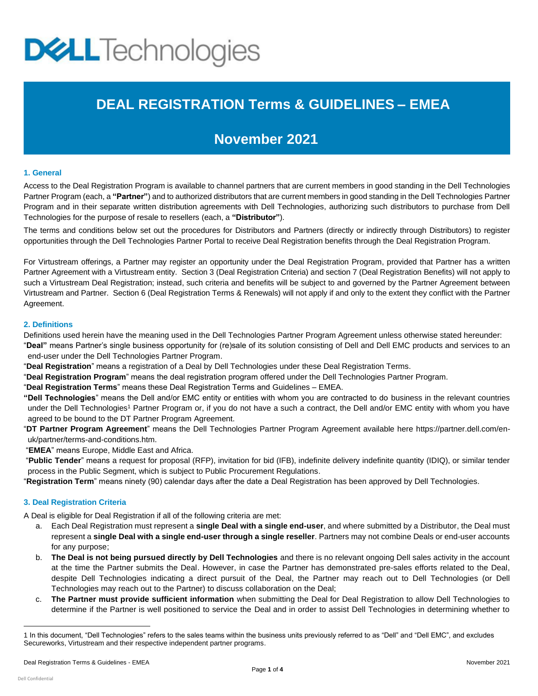# **DELL** Technologies

## **DEAL REGISTRATION Terms & GUIDELINES – EMEA**

### **November 2021**

#### **1. General**

Access to the Deal Registration Program is available to channel partners that are current members in good standing in the Dell Technologies Partner Program (each, a **"Partner"**) and to authorized distributors that are current members in good standing in the Dell Technologies Partner Program and in their separate written distribution agreements with Dell Technologies, authorizing such distributors to purchase from Dell Technologies for the purpose of resale to resellers (each, a **"Distributor"**).

The terms and conditions below set out the procedures for Distributors and Partners (directly or indirectly through Distributors) to register opportunities through the Dell Technologies Partner Portal to receive Deal Registration benefits through the Deal Registration Program.

For Virtustream offerings, a Partner may register an opportunity under the Deal Registration Program, provided that Partner has a written Partner Agreement with a Virtustream entity. Section 3 (Deal Registration Criteria) and section 7 (Deal Registration Benefits) will not apply to such a Virtustream Deal Registration; instead, such criteria and benefits will be subject to and governed by the Partner Agreement between Virtustream and Partner. Section 6 (Deal Registration Terms & Renewals) will not apply if and only to the extent they conflict with the Partner Agreement.

#### **2. Definitions**

Definitions used herein have the meaning used in the Dell Technologies Partner Program Agreement unless otherwise stated hereunder: "**Deal"** means Partner's single business opportunity for (re)sale of its solution consisting of Dell and Dell EMC products and services to an end-user under the Dell Technologies Partner Program.

- "**Deal Registration**" means a registration of a Deal by Dell Technologies under these Deal Registration Terms.
- "**Deal Registration Program**" means the deal registration program offered under the Dell Technologies Partner Program.
- "**Deal Registration Terms**" means these Deal Registration Terms and Guidelines EMEA.
- **"Dell Technologies**" means the Dell and/or EMC entity or entities with whom you are contracted to do business in the relevant countries under the Dell Technologies<sup>1</sup> Partner Program or, if you do not have a such a contract, the Dell and/or EMC entity with whom you have agreed to be bound to the DT Partner Program Agreement.
- "**DT Partner Program Agreement**" means the Dell Technologies Partner Program Agreement available here [https://partner.dell.com/en](https://partner.dell.com/en-uk/partner/terms-and-conditions.htm)[uk/partner/terms-and-conditions.htm.](https://partner.dell.com/en-uk/partner/terms-and-conditions.htm)

"**EMEA**" means Europe, Middle East and Africa.

"**Public Tender**" means a request for proposal (RFP), invitation for bid (IFB), indefinite delivery indefinite quantity (IDIQ), or similar tender process in the Public Segment, which is subject to Public Procurement Regulations.

"**Registration Term**" means ninety (90) calendar days after the date a Deal Registration has been approved by Dell Technologies.

#### **3. Deal Registration Criteria**

A Deal is eligible for Deal Registration if all of the following criteria are met:

- a. Each Deal Registration must represent a **single Deal with a single end-user**, and where submitted by a Distributor, the Deal must represent a **single Deal with a single end-user through a single reseller**. Partners may not combine Deals or end-user accounts for any purpose;
- b. **The Deal is not being pursued directly by Dell Technologies** and there is no relevant ongoing Dell sales activity in the account at the time the Partner submits the Deal. However, in case the Partner has demonstrated pre-sales efforts related to the Deal, despite Dell Technologies indicating a direct pursuit of the Deal, the Partner may reach out to Dell Technologies (or Dell Technologies may reach out to the Partner) to discuss collaboration on the Deal;
- c. **The Partner must provide sufficient information** when submitting the Deal for Deal Registration to allow Dell Technologies to determine if the Partner is well positioned to service the Deal and in order to assist Dell Technologies in determining whether to

<sup>1</sup> In this document, "Dell Technologies" refers to the sales teams within the business units previously referred to as "Dell" and "Dell EMC", and excludes Secureworks, Virtustream and their respective independent partner programs.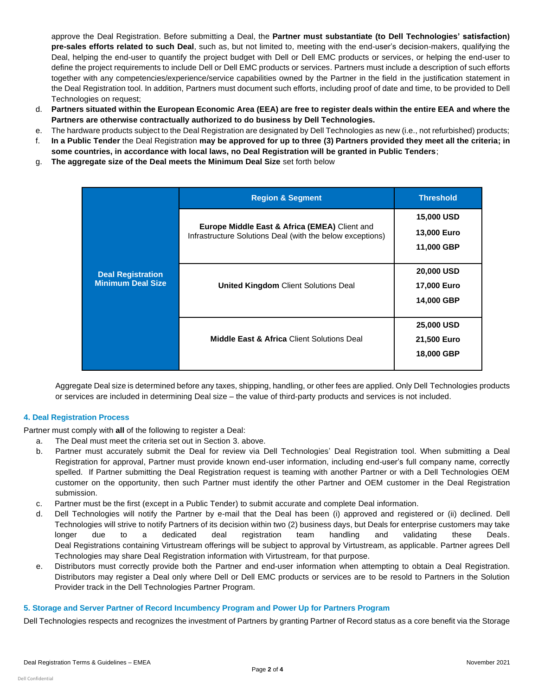approve the Deal Registration. Before submitting a Deal, the **Partner must substantiate (to Dell Technologies' satisfaction) pre-sales efforts related to such Deal**, such as, but not limited to, meeting with the end-user's decision-makers, qualifying the Deal, helping the end-user to quantify the project budget with Dell or Dell EMC products or services, or helping the end-user to define the project requirements to include Dell or Dell EMC products or services. Partners must include a description of such efforts together with any competencies/experience/service capabilities owned by the Partner in the field in the justification statement in the Deal Registration tool. In addition, Partners must document such efforts, including proof of date and time, to be provided to Dell Technologies on request;

- d. **Partners situated within the European Economic Area (EEA) are free to register deals within the entire EEA and where the Partners are otherwise contractually authorized to do business by Dell Technologies.**
- e. The hardware products subject to the Deal Registration are designated by Dell Technologies as new (i.e., not refurbished) products;
- f. **In a Public Tender** the Deal Registration **may be approved for up to three (3) Partners provided they meet all the criteria; in some countries, in accordance with local laws, no Deal Registration will be granted in Public Tenders**;
- g. **The aggregate size of the Deal meets the Minimum Deal Size** set forth below

| <b>Deal Registration</b><br><b>Minimum Deal Size</b> | <b>Region &amp; Segment</b>                                                                                | <b>Threshold</b>                 |
|------------------------------------------------------|------------------------------------------------------------------------------------------------------------|----------------------------------|
|                                                      | Europe Middle East & Africa (EMEA) Client and<br>Infrastructure Solutions Deal (with the below exceptions) | <b>15,000 USD</b><br>13,000 Euro |
|                                                      |                                                                                                            | 11,000 GBP                       |
|                                                      | <b>United Kingdom Client Solutions Deal</b>                                                                | 20,000 USD                       |
|                                                      |                                                                                                            | 17,000 Euro<br>14,000 GBP        |
|                                                      |                                                                                                            |                                  |
|                                                      | <b>Middle East &amp; Africa Client Solutions Deal</b>                                                      | <b>25,000 USD</b>                |
|                                                      |                                                                                                            | 21,500 Euro                      |
|                                                      |                                                                                                            | 18,000 GBP                       |

Aggregate Deal size is determined before any taxes, shipping, handling, or other fees are applied. Only Dell Technologies products or services are included in determining Deal size – the value of third-party products and services is not included.

#### **4. Deal Registration Process**

Partner must comply with **all** of the following to register a Deal:

- a. The Deal must meet the criteria set out in Section 3. above.
- b. Partner must accurately submit the Deal for review via Dell Technologies' Deal Registration tool. When submitting a Deal Registration for approval, Partner must provide known end-user information, including end-user's full company name, correctly spelled. If Partner submitting the Deal Registration request is teaming with another Partner or with a Dell Technologies OEM customer on the opportunity, then such Partner must identify the other Partner and OEM customer in the Deal Registration submission.
- c. Partner must be the first (except in a Public Tender) to submit accurate and complete Deal information.
- d. Dell Technologies will notify the Partner by e-mail that the Deal has been (i) approved and registered or (ii) declined. Dell Technologies will strive to notify Partners of its decision within two (2) business days, but Deals for enterprise customers may take longer due to a dedicated deal registration team handling and validating these Deals. Deal Registrations containing Virtustream offerings will be subject to approval by Virtustream, as applicable. Partner agrees Dell Technologies may share Deal Registration information with Virtustream, for that purpose.
- e. Distributors must correctly provide both the Partner and end-user information when attempting to obtain a Deal Registration. Distributors may register a Deal only where Dell or Dell EMC products or services are to be resold to Partners in the Solution Provider track in the Dell Technologies Partner Program.

#### **5. Storage and Server Partner of Record Incumbency Program and Power Up for Partners Program**

Dell Technologies respects and recognizes the investment of Partners by granting Partner of Record status as a core benefit via the Storage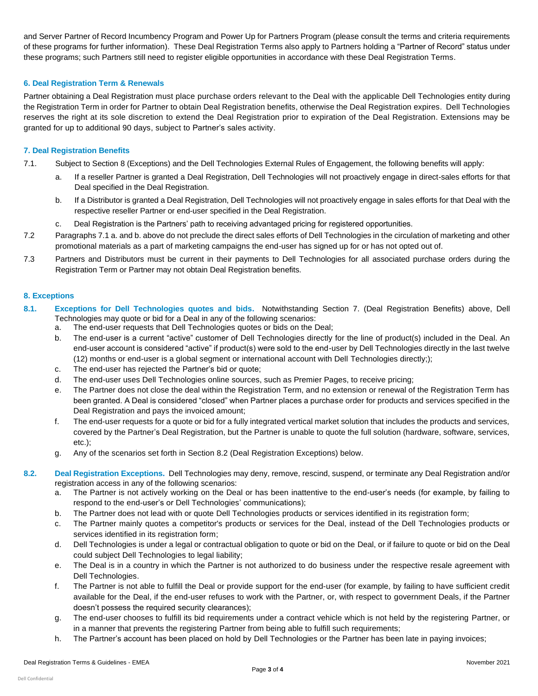and Server Partner of Record Incumbency Program and Power Up for Partners Program (please consult the terms and criteria requirements of these programs for further information). These Deal Registration Terms also apply to Partners holding a "Partner of Record" status under these programs; such Partners still need to register eligible opportunities in accordance with these Deal Registration Terms.

#### **6. Deal Registration Term & Renewals**

Partner obtaining a Deal Registration must place purchase orders relevant to the Deal with the applicable Dell Technologies entity during the Registration Term in order for Partner to obtain Deal Registration benefits, otherwise the Deal Registration expires. Dell Technologies reserves the right at its sole discretion to extend the Deal Registration prior to expiration of the Deal Registration. Extensions may be granted for up to additional 90 days, subject to Partner's sales activity.

#### **7. Deal Registration Benefits**

- 7.1. Subject to Section 8 (Exceptions) and the Dell Technologies External Rules of Engagement, the following benefits will apply:
	- a. If a reseller Partner is granted a Deal Registration, Dell Technologies will not proactively engage in direct-sales efforts for that Deal specified in the Deal Registration.
	- b. If a Distributor is granted a Deal Registration, Dell Technologies will not proactively engage in sales efforts for that Deal with the respective reseller Partner or end-user specified in the Deal Registration.
	- c. Deal Registration is the Partners' path to receiving advantaged pricing for registered opportunities.
- 7.2 Paragraphs 7.1 a. and b. above do not preclude the direct sales efforts of Dell Technologies in the circulation of marketing and other promotional materials as a part of marketing campaigns the end-user has signed up for or has not opted out of.
- 7.3 Partners and Distributors must be current in their payments to Dell Technologies for all associated purchase orders during the Registration Term or Partner may not obtain Deal Registration benefits.

#### **8. Exceptions**

- **8.1. Exceptions for Dell Technologies quotes and bids.** Notwithstanding Section 7. (Deal Registration Benefits) above, Dell Technologies may quote or bid for a Deal in any of the following scenarios:
	- a. The end-user requests that Dell Technologies quotes or bids on the Deal;
	- b. The end-user is a current "active" customer of Dell Technologies directly for the line of product(s) included in the Deal. An end-user account is considered "active" if product(s) were sold to the end-user by Dell Technologies directly in the last twelve (12) months or end-user is a global segment or international account with Dell Technologies directly;);
	- c. The end-user has rejected the Partner's bid or quote;
	- d. The end-user uses Dell Technologies online sources, such as Premier Pages, to receive pricing;
	- e. The Partner does not close the deal within the Registration Term, and no extension or renewal of the Registration Term has been granted. A Deal is considered "closed" when Partner places a purchase order for products and services specified in the Deal Registration and pays the invoiced amount;
	- f. The end-user requests for a quote or bid for a fully integrated vertical market solution that includes the products and services, covered by the Partner's Deal Registration, but the Partner is unable to quote the full solution (hardware, software, services, etc.);
	- g. Any of the scenarios set forth in Section 8.2 (Deal Registration Exceptions) below.
- **8.2. Deal Registration Exceptions.** Dell Technologies may deny, remove, rescind, suspend, or terminate any Deal Registration and/or registration access in any of the following scenarios:
	- a. The Partner is not actively working on the Deal or has been inattentive to the end-user's needs (for example, by failing to respond to the end-user's or Dell Technologies' communications);
	- b. The Partner does not lead with or quote Dell Technologies products or services identified in its registration form;
	- c. The Partner mainly quotes a competitor's products or services for the Deal, instead of the Dell Technologies products or services identified in its registration form;
	- d. Dell Technologies is under a legal or contractual obligation to quote or bid on the Deal, or if failure to quote or bid on the Deal could subject Dell Technologies to legal liability;
	- e. The Deal is in a country in which the Partner is not authorized to do business under the respective resale agreement with Dell Technologies.
	- f. The Partner is not able to fulfill the Deal or provide support for the end-user (for example, by failing to have sufficient credit available for the Deal, if the end-user refuses to work with the Partner, or, with respect to government Deals, if the Partner doesn't possess the required security clearances);
	- g. The end-user chooses to fulfill its bid requirements under a contract vehicle which is not held by the registering Partner, or in a manner that prevents the registering Partner from being able to fulfill such requirements;
	- h. The Partner's account has been placed on hold by Dell Technologies or the Partner has been late in paying invoices;